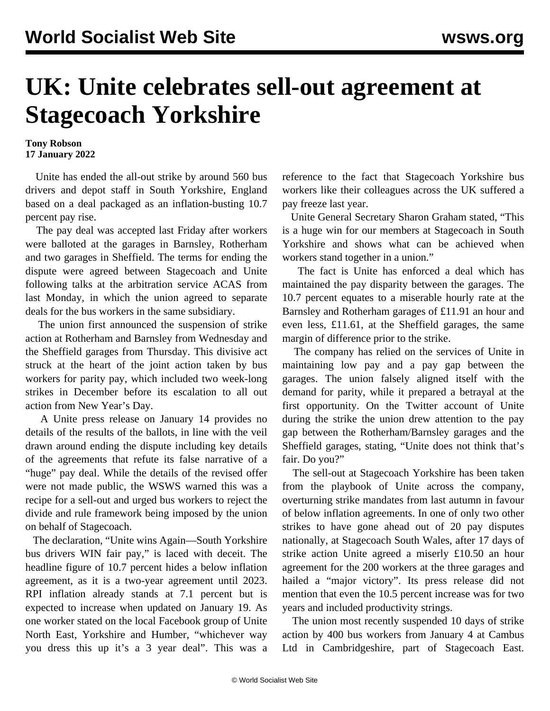## **UK: Unite celebrates sell-out agreement at Stagecoach Yorkshire**

## **Tony Robson 17 January 2022**

 Unite has ended the all-out strike by around 560 bus drivers and depot staff in South Yorkshire, England based on a deal packaged as an inflation-busting 10.7 percent pay rise.

 The pay deal was accepted last Friday after workers were balloted at the garages in Barnsley, Rotherham and two garages in Sheffield. The terms for ending the dispute were agreed between Stagecoach and Unite following talks at the arbitration service ACAS from last Monday, in which the union agreed to separate deals for the bus workers in the same subsidiary.

 The union first announced the suspension of strike action at Rotherham and Barnsley from Wednesday and the Sheffield garages from Thursday. This divisive act struck at the heart of the joint action taken by bus workers for parity pay, which included two week-long strikes in December before its escalation to all out action from New Year's Day.

 A Unite press release on January 14 provides no details of the results of the ballots, in line with the veil drawn around ending the dispute including key details of the agreements that refute its false narrative of a "huge" pay deal. While the details of the revised offer were not made public, the WSWS warned this was a recipe for a sell-out and urged bus workers to reject the divide and rule framework being imposed by the union on behalf of Stagecoach.

 The declaration, "Unite wins Again—South Yorkshire bus drivers WIN fair pay," is laced with deceit. The headline figure of 10.7 percent hides a below inflation agreement, as it is a two-year agreement until 2023. RPI inflation already stands at 7.1 percent but is expected to increase when updated on January 19. As one worker stated on the local Facebook group of Unite North East, Yorkshire and Humber, "whichever way you dress this up it's a 3 year deal". This was a

reference to the fact that Stagecoach Yorkshire bus workers like their colleagues across the UK suffered a pay freeze last year.

 Unite General Secretary Sharon Graham stated, "This is a huge win for our members at Stagecoach in South Yorkshire and shows what can be achieved when workers stand together in a union."

 The fact is Unite has enforced a deal which has maintained the pay disparity between the garages. The 10.7 percent equates to a miserable hourly rate at the Barnsley and Rotherham garages of £11.91 an hour and even less, £11.61, at the Sheffield garages, the same margin of difference prior to the strike.

 The company has relied on the services of Unite in maintaining low pay and a pay gap between the garages. The union falsely aligned itself with the demand for parity, while it prepared a betrayal at the first opportunity. On the Twitter account of Unite during the strike the union drew attention to the pay gap between the Rotherham/Barnsley garages and the Sheffield garages, stating, "Unite does not think that's fair. Do you?"

 The sell-out at Stagecoach Yorkshire has been taken from the playbook of Unite across the company, overturning strike mandates from last autumn in favour of below inflation agreements. In one of only two other strikes to have gone ahead out of 20 pay disputes nationally, at Stagecoach South Wales, after 17 days of strike action Unite agreed a miserly £10.50 an hour agreement for the 200 workers at the three garages and hailed a "major victory". Its press release did not mention that even the 10.5 percent increase was for two years and included productivity strings.

 The union most recently suspended 10 days of strike action by 400 bus workers from January 4 at Cambus Ltd in Cambridgeshire, part of Stagecoach East.